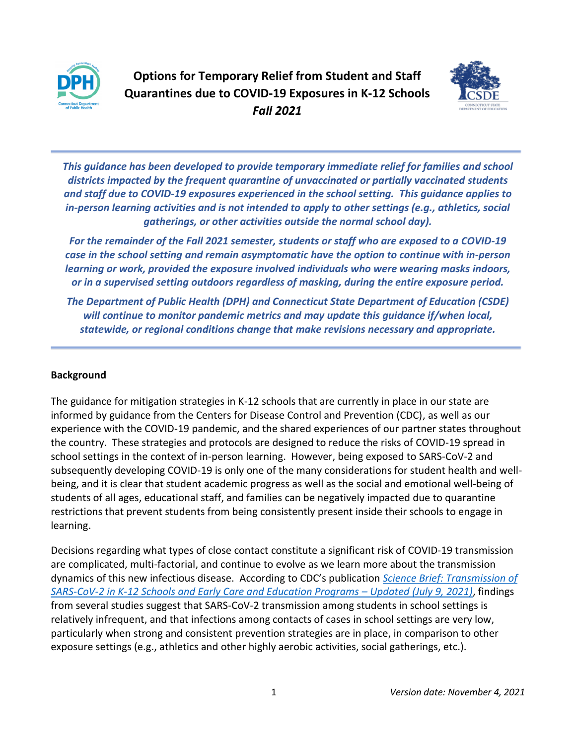



*This guidance has been developed to provide temporary immediate relief for families and school districts impacted by the frequent quarantine of unvaccinated or partially vaccinated students and staff due to COVID-19 exposures experienced in the school setting. This guidance applies to in-person learning activities and is not intended to apply to other settings (e.g., athletics, social gatherings, or other activities outside the normal school day).*

*For the remainder of the Fall 2021 semester, students or staff who are exposed to a COVID-19 case in the school setting and remain asymptomatic have the option to continue with in-person learning or work, provided the exposure involved individuals who were wearing masks indoors, or in a supervised setting outdoors regardless of masking, during the entire exposure period.* 

*The Department of Public Health (DPH) and Connecticut State Department of Education (CSDE) will continue to monitor pandemic metrics and may update this guidance if/when local, statewide, or regional conditions change that make revisions necessary and appropriate.*

## **Background**

The guidance for mitigation strategies in K-12 schools that are currently in place in our state are informed by guidance from the Centers for Disease Control and Prevention (CDC), as well as our experience with the COVID-19 pandemic, and the shared experiences of our partner states throughout the country. These strategies and protocols are designed to reduce the risks of COVID-19 spread in school settings in the context of in-person learning. However, being exposed to SARS-CoV-2 and subsequently developing COVID-19 is only one of the many considerations for student health and wellbeing, and it is clear that student academic progress as well as the social and emotional well-being of students of all ages, educational staff, and families can be negatively impacted due to quarantine restrictions that prevent students from being consistently present inside their schools to engage in learning.

Decisions regarding what types of close contact constitute a significant risk of COVID-19 transmission are complicated, multi-factorial, and continue to evolve as we learn more about the transmission dynamics of this new infectious disease. According to CDC's publication *[Science Brief: Transmission of](https://www.cdc.gov/coronavirus/2019-ncov/science/science-briefs/transmission_k_12_schools.html#schools-cov2-transmission)  [SARS-CoV-2 in K-12 Schools and Early Care and Education Programs](https://www.cdc.gov/coronavirus/2019-ncov/science/science-briefs/transmission_k_12_schools.html#schools-cov2-transmission) – Updated (July 9, 2021), findings* from several studies suggest that SARS-CoV-2 transmission among students in school settings is relatively infrequent, and that infections among contacts of cases in school settings are very low, particularly when strong and consistent prevention strategies are in place, in comparison to other exposure settings (e.g., athletics and other highly aerobic activities, social gatherings, etc.).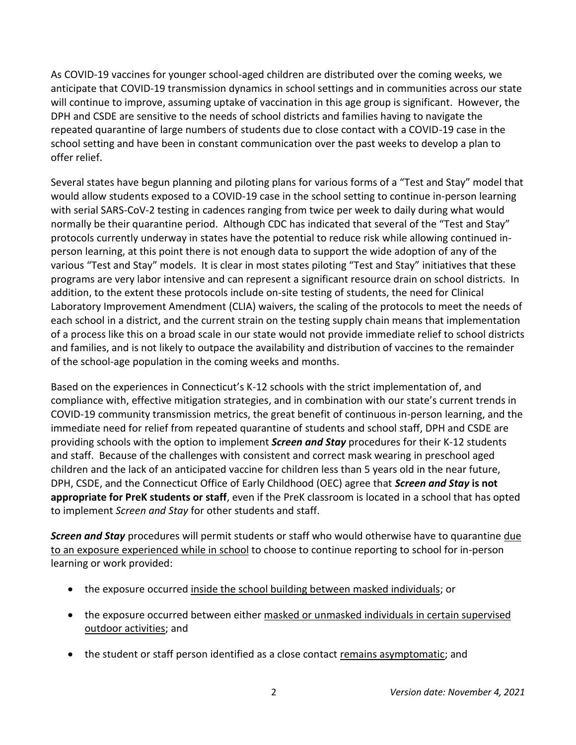As COVID-19 vaccines for younger school-aged children are distributed over the coming weeks, we anticipate that COVID-19 transmission dynamics in school settings and in communities across our state will continue to improve, assuming uptake of vaccination in this age group is significant. However, the DPH and CSDE are sensitive to the needs of school districts and families having to navigate the repeated quarantine of large numbers of students due to close contact with a COVID-19 case in the school setting and have been in constant communication over the past weeks to develop a plan to offer relief.

Several states have begun planning and piloting plans for various forms of a "Test and Stay" model that would allow students exposed to a COVID-19 case in the school setting to continue in-person learning with serial SARS-CoV-2 testing in cadences ranging from twice per week to daily during what would normally be their quarantine period. Although CDC has indicated that several of the "Test and Stay" protocols currently underway in states have the potential to reduce risk while allowing continued inperson learning, at this point there is not enough data to support the wide adoption of any of the various "Test and Stay" models. It is clear in most states piloting "Test and Stay" initiatives that these programs are very labor intensive and can represent a significant resource drain on school districts. In addition, to the extent these protocols include on-site testing of students, the need for Clinical Laboratory Improvement Amendment (CLIA) waivers, the scaling of the protocols to meet the needs of each school in a district, and the current strain on the testing supply chain means that implementation of a process like this on a broad scale in our state would not provide immediate relief to school districts and families, and is not likely to outpace the availability and distribution of vaccines to the remainder of the school-age population in the coming weeks and months.

Based on the experiences in Connecticut's K-12 schools with the strict implementation of, and compliance with, effective mitigation strategies, and in combination with our state's current trends in COVID-19 community transmission metrics, the great benefit of continuous in-person learning, and the immediate need for relief from repeated quarantine of students and school staff, DPH and CSDE are providing schools with the option to implement *Screen and Stay* procedures for their K-12 students and staff. Because of the challenges with consistent and correct mask wearing in preschool aged children and the lack of an anticipated vaccine for children less than 5 years old in the near future, DPH, CSDE, and the Connecticut Office of Early Childhood (OEC) agree that *Screen and Stay* **is not appropriate for PreK students or staff**, even if the PreK classroom is located in a school that has opted to implement *Screen and Stay* for other students and staff.

*Screen and Stay* procedures will permit students or staff who would otherwise have to quarantine due to an exposure experienced while in school to choose to continue reporting to school for in-person learning or work provided:

- the exposure occurred inside the school building between masked individuals; or
- the exposure occurred between either masked or unmasked individuals in certain supervised outdoor activities; and
- the student or staff person identified as a close contact remains asymptomatic; and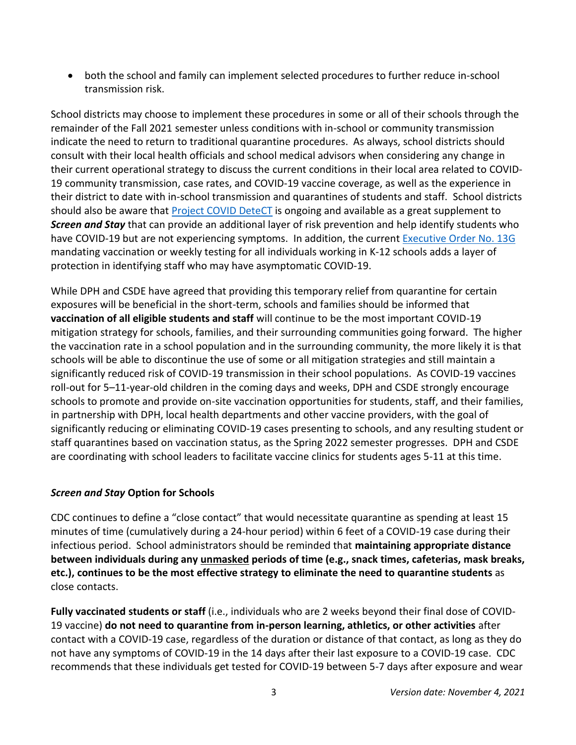• both the school and family can implement selected procedures to further reduce in-school transmission risk.

School districts may choose to implement these procedures in some or all of their schools through the remainder of the Fall 2021 semester unless conditions with in-school or community transmission indicate the need to return to traditional quarantine procedures. As always, school districts should consult with their local health officials and school medical advisors when considering any change in their current operational strategy to discuss the current conditions in their local area related to COVID-19 community transmission, case rates, and COVID-19 vaccine coverage, as well as the experience in their district to date with in-school transmission and quarantines of students and staff. School districts should also be aware that [Project COVID DeteCT](https://portal.ct.gov/Coronavirus/project-covid-detect) is ongoing and available as a great supplement to *Screen and Stay* that can provide an additional layer of risk prevention and help identify students who have COVID-19 but are not experiencing symptoms. In addition, the current [Executive Order](https://portal.ct.gov/-/media/Office-of-the-Governor/Executive-Orders/Lamont-Executive-Orders/Executive-Order-No-13G.pdf) No. 13G mandating vaccination or weekly testing for all individuals working in K-12 schools adds a layer of protection in identifying staff who may have asymptomatic COVID-19.

While DPH and CSDE have agreed that providing this temporary relief from quarantine for certain exposures will be beneficial in the short-term, schools and families should be informed that **vaccination of all eligible students and staff** will continue to be the most important COVID-19 mitigation strategy for schools, families, and their surrounding communities going forward. The higher the vaccination rate in a school population and in the surrounding community, the more likely it is that schools will be able to discontinue the use of some or all mitigation strategies and still maintain a significantly reduced risk of COVID-19 transmission in their school populations. As COVID-19 vaccines roll-out for 5–11-year-old children in the coming days and weeks, DPH and CSDE strongly encourage schools to promote and provide on-site vaccination opportunities for students, staff, and their families, in partnership with DPH, local health departments and other vaccine providers, with the goal of significantly reducing or eliminating COVID-19 cases presenting to schools, and any resulting student or staff quarantines based on vaccination status, as the Spring 2022 semester progresses. DPH and CSDE are coordinating with school leaders to facilitate vaccine clinics for students ages 5-11 at this time.

## *Screen and Stay* **Option for Schools**

CDC continues to define a "close contact" that would necessitate quarantine as spending at least 15 minutes of time (cumulatively during a 24-hour period) within 6 feet of a COVID-19 case during their infectious period. School administrators should be reminded that **maintaining appropriate distance between individuals during any unmasked periods of time (e.g., snack times, cafeterias, mask breaks, etc.), continues to be the most effective strategy to eliminate the need to quarantine students** as close contacts.

**Fully vaccinated students or staff** (i.e., individuals who are 2 weeks beyond their final dose of COVID-19 vaccine) **do not need to quarantine from in-person learning, athletics, or other activities** after contact with a COVID-19 case, regardless of the duration or distance of that contact, as long as they do not have any symptoms of COVID-19 in the 14 days after their last exposure to a COVID-19 case. CDC recommends that these individuals get tested for COVID-19 between 5-7 days after exposure and wear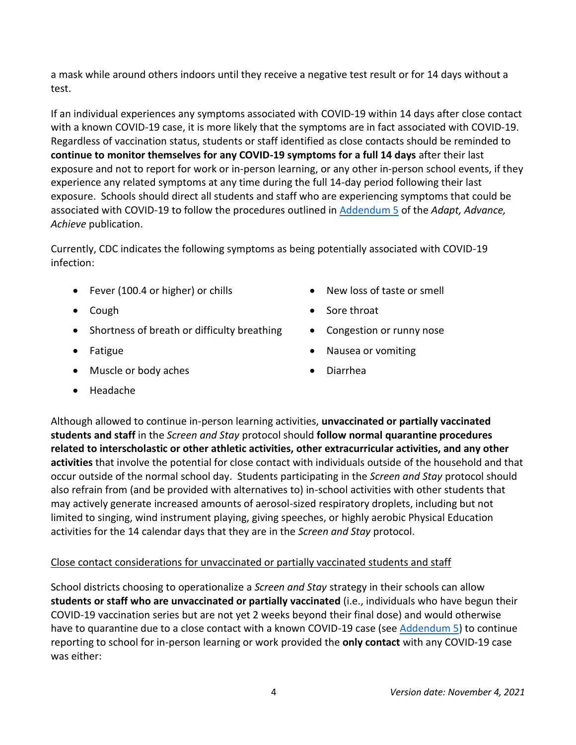a mask while around others indoors until they receive a negative test result or for 14 days without a test.

If an individual experiences any symptoms associated with COVID-19 within 14 days after close contact with a known COVID-19 case, it is more likely that the symptoms are in fact associated with COVID-19. Regardless of vaccination status, students or staff identified as close contacts should be reminded to **continue to monitor themselves for any COVID-19 symptoms for a full 14 days** after their last exposure and not to report for work or in-person learning, or any other in-person school events, if they experience any related symptoms at any time during the full 14-day period following their last exposure. Schools should direct all students and staff who are experiencing symptoms that could be associated with COVID-19 to follow the procedures outlined in [Addendum 5](https://portal.ct.gov/-/media/SDE/COVID-19/Addendum-5-Interim-Guidance-for-Responding-to-COVID-19-Scenarios-in-CT-School-Districts.pdf) of the *Adapt, Advance, Achieve* publication.

Currently, CDC indicates the following symptoms as being potentially associated with COVID-19 infection:

- Fever (100.4 or higher) or chills
- Cough
- Shortness of breath or difficulty breathing
- Fatigue
- Muscle or body aches
- New loss of taste or smell
- Sore throat
- Congestion or runny nose
- Nausea or vomiting
- Diarrhea

• Headache

Although allowed to continue in-person learning activities, **unvaccinated or partially vaccinated students and staff** in the *Screen and Stay* protocol should **follow normal quarantine procedures related to interscholastic or other athletic activities, other extracurricular activities, and any other activities** that involve the potential for close contact with individuals outside of the household and that occur outside of the normal school day. Students participating in the *Screen and Stay* protocol should also refrain from (and be provided with alternatives to) in-school activities with other students that may actively generate increased amounts of aerosol-sized respiratory droplets, including but not limited to singing, wind instrument playing, giving speeches, or highly aerobic Physical Education activities for the 14 calendar days that they are in the *Screen and Stay* protocol.

## Close contact considerations for unvaccinated or partially vaccinated students and staff

School districts choosing to operationalize a *Screen and Stay* strategy in their schools can allow **students or staff who are unvaccinated or partially vaccinated** (i.e., individuals who have begun their COVID-19 vaccination series but are not yet 2 weeks beyond their final dose) and would otherwise have to quarantine due to a close contact with a known COVID-19 case (see [Addendum 5\)](https://portal.ct.gov/-/media/SDE/COVID-19/Addendum-5-Interim-Guidance-for-Responding-to-COVID-19-Scenarios-in-CT-School-Districts.pdf) to continue reporting to school for in-person learning or work provided the **only contact** with any COVID-19 case was either: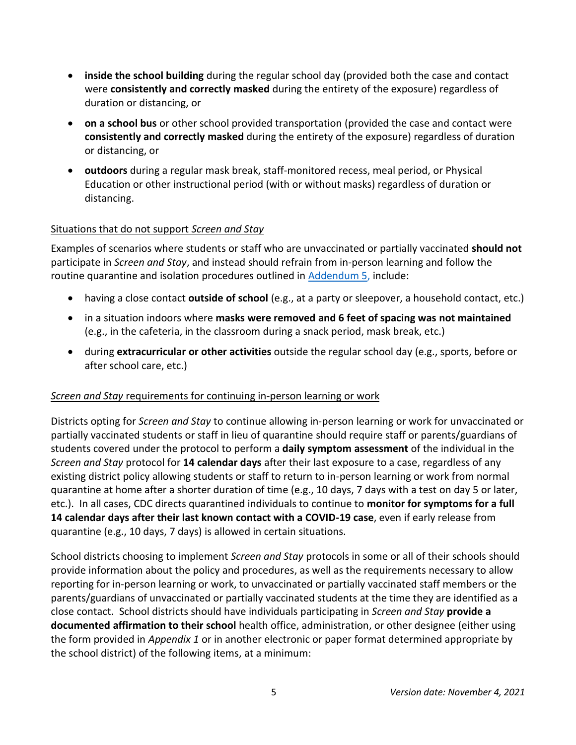- **inside the school building** during the regular school day (provided both the case and contact were **consistently and correctly masked** during the entirety of the exposure) regardless of duration or distancing, or
- **on a school bus** or other school provided transportation (provided the case and contact were **consistently and correctly masked** during the entirety of the exposure) regardless of duration or distancing, or
- **outdoors** during a regular mask break, staff-monitored recess, meal period, or Physical Education or other instructional period (with or without masks) regardless of duration or distancing.

## Situations that do not support *Screen and Stay*

Examples of scenarios where students or staff who are unvaccinated or partially vaccinated **should not** participate in *Screen and Stay*, and instead should refrain from in-person learning and follow the routine quarantine and isolation procedures outlined in [Addendum 5,](https://portal.ct.gov/-/media/SDE/COVID-19/Addendum-5-Interim-Guidance-for-Responding-to-COVID-19-Scenarios-in-CT-School-Districts.pdf) include:

- having a close contact **outside of school** (e.g., at a party or sleepover, a household contact, etc.)
- in a situation indoors where **masks were removed and 6 feet of spacing was not maintained** (e.g., in the cafeteria, in the classroom during a snack period, mask break, etc.)
- during **extracurricular or other activities** outside the regular school day (e.g., sports, before or after school care, etc.)

## *Screen and Stay* requirements for continuing in-person learning or work

Districts opting for *Screen and Stay* to continue allowing in-person learning or work for unvaccinated or partially vaccinated students or staff in lieu of quarantine should require staff or parents/guardians of students covered under the protocol to perform a **daily symptom assessment** of the individual in the *Screen and Stay* protocol for **14 calendar days** after their last exposure to a case, regardless of any existing district policy allowing students or staff to return to in-person learning or work from normal quarantine at home after a shorter duration of time (e.g., 10 days, 7 days with a test on day 5 or later, etc.). In all cases, CDC directs quarantined individuals to continue to **monitor for symptoms for a full 14 calendar days after their last known contact with a COVID-19 case**, even if early release from quarantine (e.g., 10 days, 7 days) is allowed in certain situations.

School districts choosing to implement *Screen and Stay* protocols in some or all of their schools should provide information about the policy and procedures, as well as the requirements necessary to allow reporting for in-person learning or work, to unvaccinated or partially vaccinated staff members or the parents/guardians of unvaccinated or partially vaccinated students at the time they are identified as a close contact. School districts should have individuals participating in *Screen and Stay* **provide a documented affirmation to their school** health office, administration, or other designee (either using the form provided in *Appendix 1* or in another electronic or paper format determined appropriate by the school district) of the following items, at a minimum: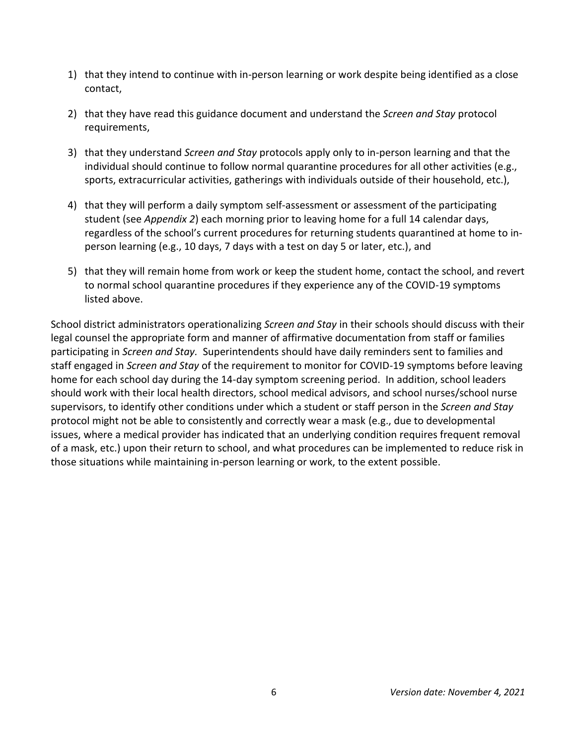- 1) that they intend to continue with in-person learning or work despite being identified as a close contact,
- 2) that they have read this guidance document and understand the *Screen and Stay* protocol requirements,
- 3) that they understand *Screen and Stay* protocols apply only to in-person learning and that the individual should continue to follow normal quarantine procedures for all other activities (e.g., sports, extracurricular activities, gatherings with individuals outside of their household, etc.),
- 4) that they will perform a daily symptom self-assessment or assessment of the participating student (see *Appendix 2*) each morning prior to leaving home for a full 14 calendar days, regardless of the school's current procedures for returning students quarantined at home to inperson learning (e.g., 10 days, 7 days with a test on day 5 or later, etc.), and
- 5) that they will remain home from work or keep the student home, contact the school, and revert to normal school quarantine procedures if they experience any of the COVID-19 symptoms listed above.

School district administrators operationalizing *Screen and Stay* in their schools should discuss with their legal counsel the appropriate form and manner of affirmative documentation from staff or families participating in *Screen and Stay.* Superintendents should have daily reminders sent to families and staff engaged in *Screen and Stay* of the requirement to monitor for COVID-19 symptoms before leaving home for each school day during the 14-day symptom screening period. In addition, school leaders should work with their local health directors, school medical advisors, and school nurses/school nurse supervisors, to identify other conditions under which a student or staff person in the *Screen and Stay* protocol might not be able to consistently and correctly wear a mask (e.g., due to developmental issues, where a medical provider has indicated that an underlying condition requires frequent removal of a mask, etc.) upon their return to school, and what procedures can be implemented to reduce risk in those situations while maintaining in-person learning or work, to the extent possible.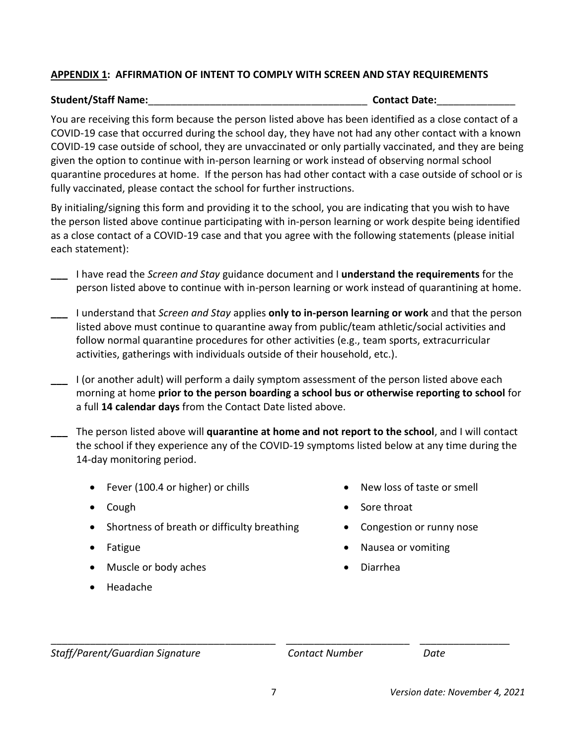## **APPENDIX 1: AFFIRMATION OF INTENT TO COMPLY WITH SCREEN AND STAY REQUIREMENTS**

#### **Student/Staff Name:**\_\_\_\_\_\_\_\_\_\_\_\_\_\_\_\_\_\_\_\_\_\_\_\_\_\_\_\_\_\_\_\_\_\_\_\_\_\_\_ **Contact Date:**\_\_\_\_\_\_\_\_\_\_\_\_\_\_

You are receiving this form because the person listed above has been identified as a close contact of a COVID-19 case that occurred during the school day, they have not had any other contact with a known COVID-19 case outside of school, they are unvaccinated or only partially vaccinated, and they are being given the option to continue with in-person learning or work instead of observing normal school quarantine procedures at home. If the person has had other contact with a case outside of school or is fully vaccinated, please contact the school for further instructions.

By initialing/signing this form and providing it to the school, you are indicating that you wish to have the person listed above continue participating with in-person learning or work despite being identified as a close contact of a COVID-19 case and that you agree with the following statements (please initial each statement):

- **\_\_\_** I have read the *Screen and Stay* guidance document and I **understand the requirements** for the person listed above to continue with in-person learning or work instead of quarantining at home.
- **\_\_\_** I understand that *Screen and Stay* applies **only to in-person learning or work** and that the person listed above must continue to quarantine away from public/team athletic/social activities and follow normal quarantine procedures for other activities (e.g., team sports, extracurricular activities, gatherings with individuals outside of their household, etc.).
- **\_\_\_** I (or another adult) will perform a daily symptom assessment of the person listed above each morning at home **prior to the person boarding a school bus or otherwise reporting to school** for a full **14 calendar days** from the Contact Date listed above.
- **\_\_\_** The person listed above will **quarantine at home and not report to the school**, and I will contact the school if they experience any of the COVID-19 symptoms listed below at any time during the 14-day monitoring period.
	- Fever (100.4 or higher) or chills
	- Cough
	- Shortness of breath or difficulty breathing
	- Fatigue
	- Muscle or body aches
	- Headache
- New loss of taste or smell
- Sore throat
- Congestion or runny nose
- Nausea or vomiting
- Diarrhea

*Staff/Parent/Guardian Signature Contact Number Date*

\_\_\_\_\_\_\_\_\_\_\_\_\_\_\_\_\_\_\_\_\_\_\_\_\_\_\_\_\_\_\_\_\_\_\_\_\_\_\_\_ \_\_\_\_\_\_\_\_\_\_\_\_\_\_\_\_\_\_\_\_\_\_ \_\_\_\_\_\_\_\_\_\_\_\_\_\_\_\_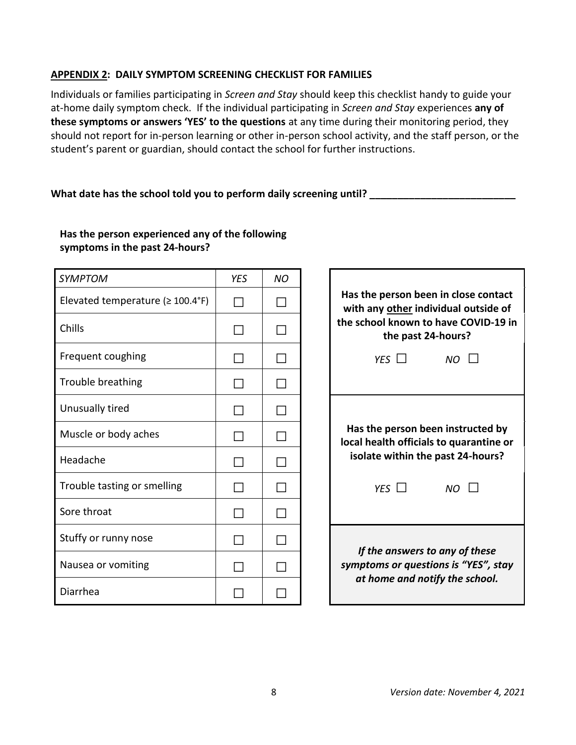### **APPENDIX 2: DAILY SYMPTOM SCREENING CHECKLIST FOR FAMILIES**

Individuals or families participating in *Screen and Stay* should keep this checklist handy to guide your at-home daily symptom check. If the individual participating in *Screen and Stay* experiences **any of these symptoms or answers 'YES' to the questions** at any time during their monitoring period, they should not report for in-person learning or other in-person school activity, and the staff person, or the student's parent or guardian, should contact the school for further instructions.

### **What date has the school told you to perform daily screening until? \_\_\_\_\_\_\_\_\_\_\_\_\_\_\_\_\_\_\_\_\_\_\_\_\_\_**

# **Has the person experienced any of the following symptoms in the past 24-hours?**

| <b>SYMPTOM</b>                          | <b>YES</b> | <b>NO</b> |                                                                           |
|-----------------------------------------|------------|-----------|---------------------------------------------------------------------------|
| Elevated temperature $( \geq 100.4$ °F) |            | ΙI        | Has the person been in close conta<br>with any other individual outside o |
| Chills                                  |            |           | the school known to have COVID-19<br>the past 24-hours?                   |
| Frequent coughing                       |            | $\Box$    | YES $\Box$<br><b>NO</b>                                                   |
| Trouble breathing                       |            |           |                                                                           |
| Unusually tired                         |            | П         |                                                                           |
| Muscle or body aches                    |            | ΙI        | Has the person been instructed by<br>local health officials to quarantine |
| Headache                                |            | ΙI        | isolate within the past 24-hours?                                         |
| Trouble tasting or smelling             |            | $\Box$    | YES $\Box$<br>$NO$ $\Box$                                                 |
| Sore throat                             |            | $\Box$    |                                                                           |
| Stuffy or runny nose                    |            |           |                                                                           |
| Nausea or vomiting                      |            |           | If the answers to any of these<br>symptoms or questions is "YES", sto     |
| Diarrhea                                |            |           | at home and notify the school.                                            |

| Has the person been in close contact<br>with any other individual outside of<br>the school known to have COVID-19 in<br>the past 24-hours? |            |                                                                                                                   |  |  |  |
|--------------------------------------------------------------------------------------------------------------------------------------------|------------|-------------------------------------------------------------------------------------------------------------------|--|--|--|
|                                                                                                                                            | YES $\Box$ | $NO$ $\Box$                                                                                                       |  |  |  |
|                                                                                                                                            |            |                                                                                                                   |  |  |  |
|                                                                                                                                            |            | Has the person been instructed by<br>local health officials to quarantine or<br>isolate within the past 24-hours? |  |  |  |
|                                                                                                                                            | YES $\Box$ | $NO$ $\Box$                                                                                                       |  |  |  |
|                                                                                                                                            |            |                                                                                                                   |  |  |  |
|                                                                                                                                            |            | If the answers to any of these<br>symptoms or questions is "YES", stay<br>at home and notify the school.          |  |  |  |